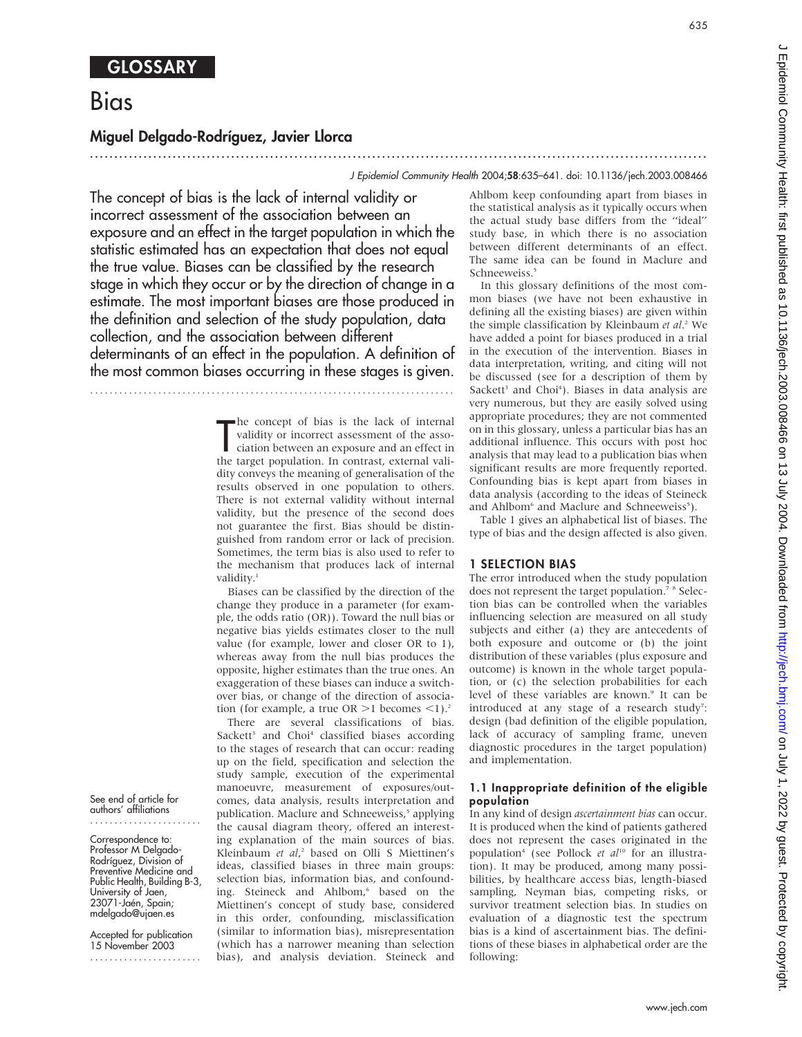# Bias

## Miguel Delgado-Rodrı´guez, Javier Llorca

#### J Epidemiol Community Health 2004;58:635–641. doi: 10.1136/jech.2003.008466

The concept of bias is the lack of internal validity or incorrect assessment of the association between an exposure and an effect in the target population in which the statistic estimated has an expectation that does not equal the true value. Biases can be classified by the research stage in which they occur or by the direction of change in a estimate. The most important biases are those produced in the definition and selection of the study population, data collection, and the association between different determinants of an effect in the population. A definition of the most common biases occurring in these stages is given.

...........................................................................

The concept of bias is the lack of internal<br>validity or incorrect assessment of the asso-<br>ciation between an exposure and an effect in<br>the target population. In contrast, external valihe concept of bias is the lack of internal validity or incorrect assessment of the association between an exposure and an effect in dity conveys the meaning of generalisation of the results observed in one population to others. There is not external validity without internal validity, but the presence of the second does not guarantee the first. Bias should be distinguished from random error or lack of precision. Sometimes, the term bias is also used to refer to the mechanism that produces lack of internal validity.<sup>1</sup>

...............................................................................................................................

Biases can be classified by the direction of the change they produce in a parameter (for example, the odds ratio (OR)). Toward the null bias or negative bias yields estimates closer to the null value (for example, lower and closer OR to 1), whereas away from the null bias produces the opposite, higher estimates than the true ones. An exaggeration of these biases can induce a switchover bias, or change of the direction of association (for example, a true  $OR >1$  becomes <1).<sup>2</sup>

There are several classifications of bias. Sackett<sup>3</sup> and Choi<sup>4</sup> classified biases according to the stages of research that can occur: reading up on the field, specification and selection the study sample, execution of the experimental manoeuvre, measurement of exposures/outcomes, data analysis, results interpretation and publication. Maclure and Schneeweiss,<sup>5</sup> applying the causal diagram theory, offered an interesting explanation of the main sources of bias. Kleinbaum et al,<sup>2</sup> based on Olli S Miettinen's ideas, classified biases in three main groups: selection bias, information bias, and confounding. Steineck and Ahlbom,<sup>6</sup> based on the Miettinen's concept of study base, considered in this order, confounding, misclassification (similar to information bias), misrepresentation (which has a narrower meaning than selection bias), and analysis deviation. Steineck and

Ahlbom keep confounding apart from biases in the statistical analysis as it typically occurs when the actual study base differs from the ''ideal'' study base, in which there is no association between different determinants of an effect. The same idea can be found in Maclure and Schneeweiss.<sup>5</sup>

In this glossary definitions of the most common biases (we have not been exhaustive in defining all the existing biases) are given within the simple classification by Kleinbaum et al.<sup>2</sup> We have added a point for biases produced in a trial in the execution of the intervention. Biases in data interpretation, writing, and citing will not be discussed (see for a description of them by Sackett<sup>3</sup> and Choi<sup>4</sup>). Biases in data analysis are very numerous, but they are easily solved using appropriate procedures; they are not commented on in this glossary, unless a particular bias has an additional influence. This occurs with post hoc analysis that may lead to a publication bias when significant results are more frequently reported. Confounding bias is kept apart from biases in data analysis (according to the ideas of Steineck and Ahlbom<sup>6</sup> and Maclure and Schneeweiss<sup>5</sup>).

Table 1 gives an alphabetical list of biases. The type of bias and the design affected is also given.

#### 1 SELECTION BIAS

The error introduced when the study population does not represent the target population.<sup>7</sup> <sup>8</sup> Selection bias can be controlled when the variables influencing selection are measured on all study subjects and either (a) they are antecedents of both exposure and outcome or (b) the joint distribution of these variables (plus exposure and outcome) is known in the whole target population, or (c) the selection probabilities for each level of these variables are known.<sup>9</sup> It can be introduced at any stage of a research study<sup>7</sup>: design (bad definition of the eligible population, lack of accuracy of sampling frame, uneven diagnostic procedures in the target population) and implementation.

#### 1.1 Inappropriate definition of the eligible population

In any kind of design ascertainment bias can occur. It is produced when the kind of patients gathered does not represent the cases originated in the population<sup>4</sup> (see Pollock et  $al^{10}$  for an illustration). It may be produced, among many possibilities, by healthcare access bias, length-biased sampling, Neyman bias, competing risks, or survivor treatment selection bias. In studies on evaluation of a diagnostic test the spectrum bias is a kind of ascertainment bias. The definitions of these biases in alphabetical order are the following:

See end of article for authors' affiliations .......................

Correspondence to: Professor M Delgado-Rodríguez, Division of Preventive Medicine and Public Health, Building B-3, University of Jaen, 23071-Jaén, Spain; mdelgado@ujaen.es

Accepted for publication 15 November 2003 .......................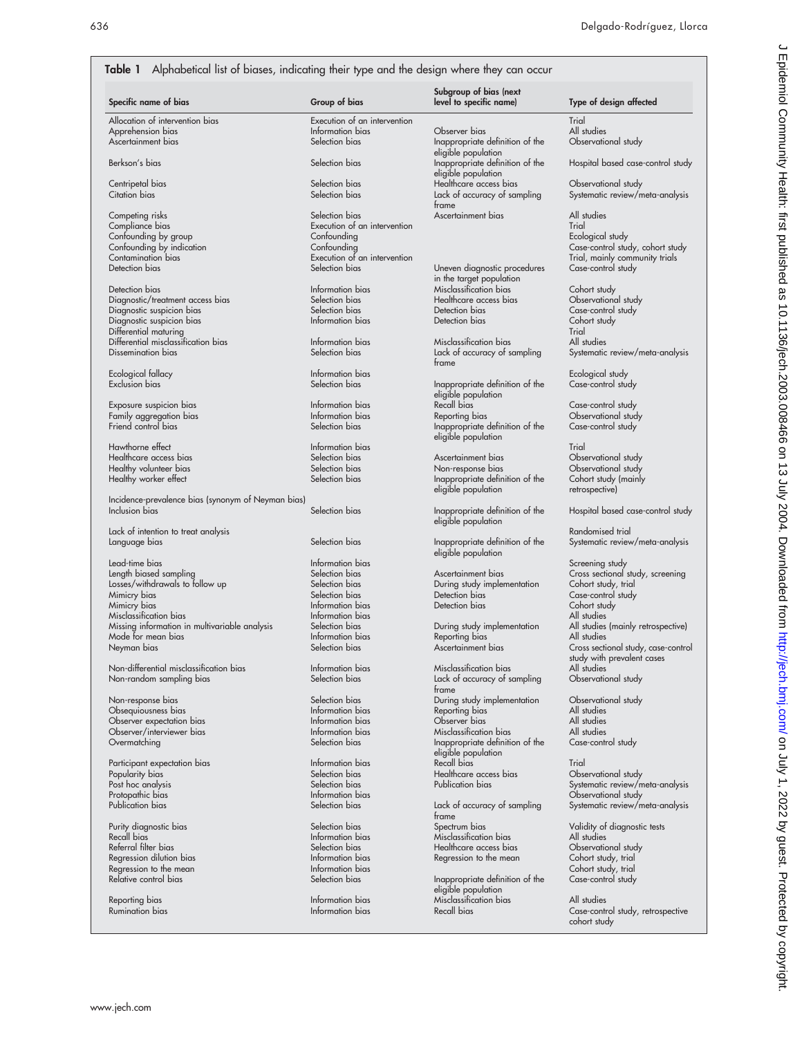#### Table 1 Alphabetical list of biases, indicating their type and the design where they can occur

| Specific name of bias                              | Group of bias                        | Subgroup of bias (next<br>level to specific name) | Type of design affected                                           |
|----------------------------------------------------|--------------------------------------|---------------------------------------------------|-------------------------------------------------------------------|
| Allocation of intervention bias                    | Execution of an intervention         |                                                   | Trial                                                             |
| Apprehension bias                                  | Information bias                     | Observer bias                                     | All studies                                                       |
| Ascertainment bias                                 | Selection bias                       | Inappropriate definition of the                   | Observational study                                               |
|                                                    |                                      | eligible population                               |                                                                   |
| Berkson's bias                                     | Selection bias                       | Inappropriate definition of the                   | Hospital based case-control study                                 |
|                                                    |                                      | eligible population                               |                                                                   |
| Centripetal bias                                   | Selection bias                       | Healthcare access bias                            | Observational study                                               |
| Citation bias                                      | Selection bias                       | Lack of accuracy of sampling                      | Systematic review/meta-analysis                                   |
|                                                    |                                      | frame                                             |                                                                   |
| Competing risks                                    | Selection bias                       | Ascertainment bias                                | All studies                                                       |
| Compliance bias                                    | Execution of an intervention         |                                                   | Trial                                                             |
| Confounding by group                               | Confounding                          |                                                   | Ecological study                                                  |
| Confounding by indication                          | Confounding                          |                                                   | Case-control study, cohort study                                  |
| Contamination bias                                 | Execution of an intervention         |                                                   | Trial, mainly community trials                                    |
| Detection bias                                     | Selection bias                       | Uneven diagnostic procedures                      | Case-control study                                                |
|                                                    |                                      | in the target population                          |                                                                   |
| Detection bias                                     | Information bias                     | Misclassification bias                            | Cohort study                                                      |
| Diagnostic/treatment access bias                   | Selection bias                       | Healthcare access bias                            | Observational study                                               |
| Diagnostic suspicion bias                          | Selection bias                       | Detection bias                                    | Case-control study                                                |
| Diagnostic suspicion bias                          | Information bias                     | Detection bias                                    | Cohort study                                                      |
| Differential maturing                              |                                      |                                                   | Trial                                                             |
| Differential misclassification bias                | Information bias                     | Misclassification bias                            | All studies                                                       |
| Dissemination bias                                 | Selection bias                       | Lack of accuracy of sampling                      | Systematic review/meta-analysis                                   |
|                                                    |                                      | frame                                             |                                                                   |
| Ecological fallacy                                 | Information bias                     |                                                   | Ecological study                                                  |
| Exclusion bias                                     | Selection bias                       | Inappropriate definition of the                   | Case-control study                                                |
|                                                    |                                      | eligible population                               |                                                                   |
| Exposure suspicion bias                            | Information bias                     | Recall bias                                       | Case-control study                                                |
| Family aggregation bias                            | Information bias                     | Reporting bias                                    | Observational study                                               |
| Friend control bias                                | Selection bias                       | Inappropriate definition of the                   | Case-control study                                                |
|                                                    |                                      | eligible population                               |                                                                   |
| Hawthorne effect                                   | Information bias                     |                                                   | Trial                                                             |
| Healthcare access bias                             | Selection bias                       | Ascertainment bias                                | Observational study                                               |
| Healthy volunteer bias                             | Selection bias                       | Non-response bias                                 | Observational study                                               |
| Healthy worker effect                              | Selection bias                       | Inappropriate definition of the                   | Cohort study (mainly                                              |
|                                                    |                                      | eligible population                               | retrospective)                                                    |
| Incidence-prevalence bias (synonym of Neyman bias) |                                      |                                                   |                                                                   |
| Inclusion bias                                     | Selection bias                       | Inappropriate definition of the                   | Hospital based case-control study                                 |
|                                                    |                                      | eligible population                               |                                                                   |
| Lack of intention to treat analysis                |                                      |                                                   | Randomised trial                                                  |
| Language bias                                      | Selection bias                       | Inappropriate definition of the                   | Systematic review/meta-analysis                                   |
|                                                    |                                      | eligible population                               |                                                                   |
| Lead-time bias                                     | Information bias                     |                                                   | Screening study                                                   |
| Length biased sampling                             | Selection bias                       | Ascertainment bias                                | Cross sectional study, screening                                  |
| Losses/withdrawals to follow up                    | Selection bias                       | During study implementation                       | Cohort study, trial                                               |
| Mimicry bias                                       | Selection bias                       | Detection bias<br>Detection bias                  | Case-control study                                                |
| Mimicry bias<br>Misclassification bias             | Information bias                     |                                                   | Cohort study                                                      |
| Missing information in multivariable analysis      | Information bias<br>Selection bias   |                                                   | All studies<br>All studies (mainly retrospective)                 |
| Mode for mean bias                                 | Information bias                     | During study implementation                       |                                                                   |
|                                                    | Selection bias                       | Reporting bias<br>Ascertainment bias              | All studies                                                       |
| Neyman bias                                        |                                      |                                                   | Cross sectional study, case-control<br>study with prevalent cases |
| Non-differential misclassification bias            | Information bias                     | Misclassification bias                            | All studies                                                       |
| Non-random sampling bias                           | Selection bias                       | Lack of accuracy of sampling                      | Observational study                                               |
|                                                    |                                      | trame                                             |                                                                   |
| Non-response bias                                  | Selection bias                       | During study implementation                       | Observational study                                               |
|                                                    | Information bias                     |                                                   | All studies                                                       |
| Obsequiousness bias<br>Observer expectation bias   | Information bias                     | Reporting bias<br>Observer bias                   | All studies                                                       |
|                                                    | Information bias                     | Misclassification bias                            | All studies                                                       |
| Observer/interviewer bias<br>Overmatching          | Selection bias                       | Inappropriate definition of the                   | Case-control study                                                |
|                                                    |                                      |                                                   |                                                                   |
| Participant expectation bias                       | Information bias                     | eligible population<br>Recall bias                | Trial                                                             |
| Popularity bias                                    | Selection bias                       | Healthcare access bias                            | Observational study                                               |
| Post hoc analysis                                  | Selection bias                       | Publication bias                                  | Systematic review/meta-analysis                                   |
| Protopathic bias                                   | Information bias                     |                                                   | Observational study                                               |
| Publication bias                                   | Selection bias                       | Lack of accuracy of sampling                      | Systematic review/meta-analysis                                   |
|                                                    |                                      | frame                                             |                                                                   |
| Purity diagnostic bias                             | Selection bias                       | Spectrum bias                                     | Validity of diagnostic tests                                      |
| Recall bias                                        | Information bias                     | Misclassification bias                            | All studies                                                       |
| Referral filter bias                               | Selection bias                       | Healthcare access bias                            | Observational study                                               |
|                                                    | Information bias                     | Regression to the mean                            | Cohort study, trial                                               |
|                                                    |                                      |                                                   |                                                                   |
| Regression dilution bias                           |                                      |                                                   |                                                                   |
| Regression to the mean                             | Information bias                     |                                                   | Cohort study, trial                                               |
| Relative control bias                              | Selection bias                       | Inappropriate definition of the                   | Case-control study                                                |
|                                                    |                                      | eligible population                               |                                                                   |
| Reporting bias<br>Rumination bias                  | Information bias<br>Information bias | Misclassification bias<br>Recall bias             | All studies<br>Case-control study, retrospective                  |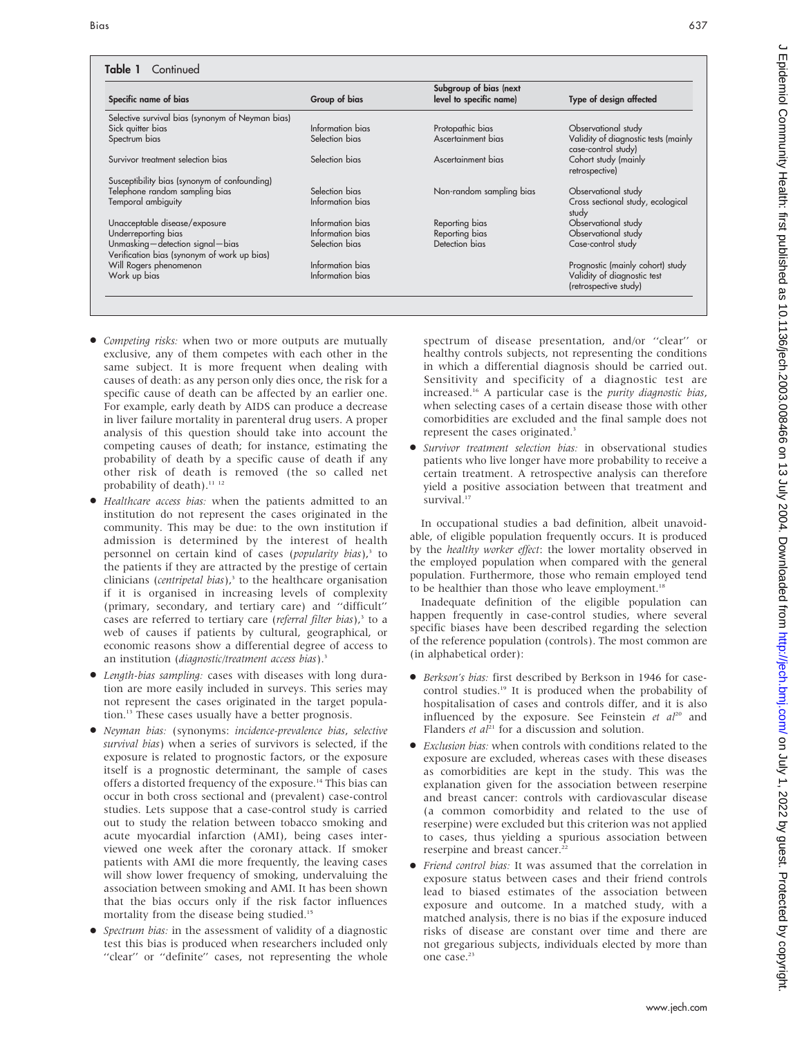#### Table 1 Continued

| Specific name of bias                                                          | Group of bias    | Subgroup of bias (next<br>level to specific name) | Type of design affected                                     |
|--------------------------------------------------------------------------------|------------------|---------------------------------------------------|-------------------------------------------------------------|
| Selective survival bias (synonym of Neyman bias)                               |                  |                                                   |                                                             |
| Sick quitter bias                                                              | Information bias | Protopathic bias                                  | Observational study                                         |
| Spectrum bias                                                                  | Selection bias   | Ascertainment bias                                | Validity of diagnostic tests (mainly<br>case-control study) |
| Survivor treatment selection bias                                              | Selection bias   | Ascertainment bias                                | Cohort study (mainly<br>retrospective)                      |
| Susceptibility bias (synonym of confounding)                                   |                  |                                                   |                                                             |
| Telephone random sampling bias                                                 | Selection bias   | Non-random sampling bias                          | Observational study                                         |
| Temporal ambiguity                                                             | Information bias |                                                   | Cross sectional study, ecological<br>study                  |
| Unacceptable disease/exposure                                                  | Information bias | Reporting bias                                    | Observational study                                         |
| Underreporting bias                                                            | Information bias | Reporting bias                                    | Observational study                                         |
| Unmasking-detection signal-bias<br>Verification bias (synonym of work up bias) | Selection bias   | Detection bias                                    | Case-control study                                          |
| Will Rogers phenomenon                                                         | Information bias |                                                   | Prognostic (mainly cohort) study                            |
| Work up bias                                                                   | Information bias |                                                   | Validity of diagnostic test<br>(retrospective study)        |

- *Competing risks*: when two or more outputs are mutually exclusive, any of them competes with each other in the same subject. It is more frequent when dealing with causes of death: as any person only dies once, the risk for a specific cause of death can be affected by an earlier one. For example, early death by AIDS can produce a decrease in liver failure mortality in parenteral drug users. A proper analysis of this question should take into account the competing causes of death; for instance, estimating the probability of death by a specific cause of death if any other risk of death is removed (the so called net probability of death).<sup>11</sup> <sup>12</sup>
- Healthcare access bias: when the patients admitted to an institution do not represent the cases originated in the community. This may be due: to the own institution if admission is determined by the interest of health personnel on certain kind of cases (popularity bias),<sup>3</sup> to the patients if they are attracted by the prestige of certain clinicians (*centripetal bias*), $3$  to the healthcare organisation if it is organised in increasing levels of complexity (primary, secondary, and tertiary care) and ''difficult'' cases are referred to tertiary care (referral filter bias),<sup>3</sup> to a web of causes if patients by cultural, geographical, or economic reasons show a differential degree of access to an institution (diagnostic/treatment access bias).<sup>3</sup>
- $\bullet$  Length-bias sampling: cases with diseases with long duration are more easily included in surveys. This series may not represent the cases originated in the target population.<sup>13</sup> These cases usually have a better prognosis.
- N Neyman bias: (synonyms: incidence-prevalence bias, selective survival bias) when a series of survivors is selected, if the exposure is related to prognostic factors, or the exposure itself is a prognostic determinant, the sample of cases offers a distorted frequency of the exposure.<sup>14</sup> This bias can occur in both cross sectional and (prevalent) case-control studies. Lets suppose that a case-control study is carried out to study the relation between tobacco smoking and acute myocardial infarction (AMI), being cases interviewed one week after the coronary attack. If smoker patients with AMI die more frequently, the leaving cases will show lower frequency of smoking, undervaluing the association between smoking and AMI. It has been shown that the bias occurs only if the risk factor influences mortality from the disease being studied.<sup>15</sup>
- Spectrum bias: in the assessment of validity of a diagnostic test this bias is produced when researchers included only "clear" or "definite" cases, not representing the whole

spectrum of disease presentation, and/or ''clear'' or healthy controls subjects, not representing the conditions in which a differential diagnosis should be carried out. Sensitivity and specificity of a diagnostic test are increased.16 A particular case is the purity diagnostic bias, when selecting cases of a certain disease those with other comorbidities are excluded and the final sample does not represent the cases originated.<sup>3</sup>

 $\bullet$  Survivor treatment selection bias: in observational studies patients who live longer have more probability to receive a certain treatment. A retrospective analysis can therefore yield a positive association between that treatment and survival.<sup>1</sup>

In occupational studies a bad definition, albeit unavoidable, of eligible population frequently occurs. It is produced by the healthy worker effect: the lower mortality observed in the employed population when compared with the general population. Furthermore, those who remain employed tend to be healthier than those who leave employment.<sup>18</sup>

Inadequate definition of the eligible population can happen frequently in case-control studies, where several specific biases have been described regarding the selection of the reference population (controls). The most common are (in alphabetical order):

- N Berkson's bias: first described by Berkson in 1946 for casecontrol studies.19 It is produced when the probability of hospitalisation of cases and controls differ, and it is also influenced by the exposure. See Feinstein et  $al^{20}$  and Flanders et  $al^{21}$  for a discussion and solution.
- Exclusion bias: when controls with conditions related to the exposure are excluded, whereas cases with these diseases as comorbidities are kept in the study. This was the explanation given for the association between reserpine and breast cancer: controls with cardiovascular disease (a common comorbidity and related to the use of reserpine) were excluded but this criterion was not applied to cases, thus yielding a spurious association between reserpine and breast cancer.<sup>22</sup>
- Friend control bias: It was assumed that the correlation in exposure status between cases and their friend controls lead to biased estimates of the association between exposure and outcome. In a matched study, with a matched analysis, there is no bias if the exposure induced risks of disease are constant over time and there are not gregarious subjects, individuals elected by more than one case.<sup>23</sup>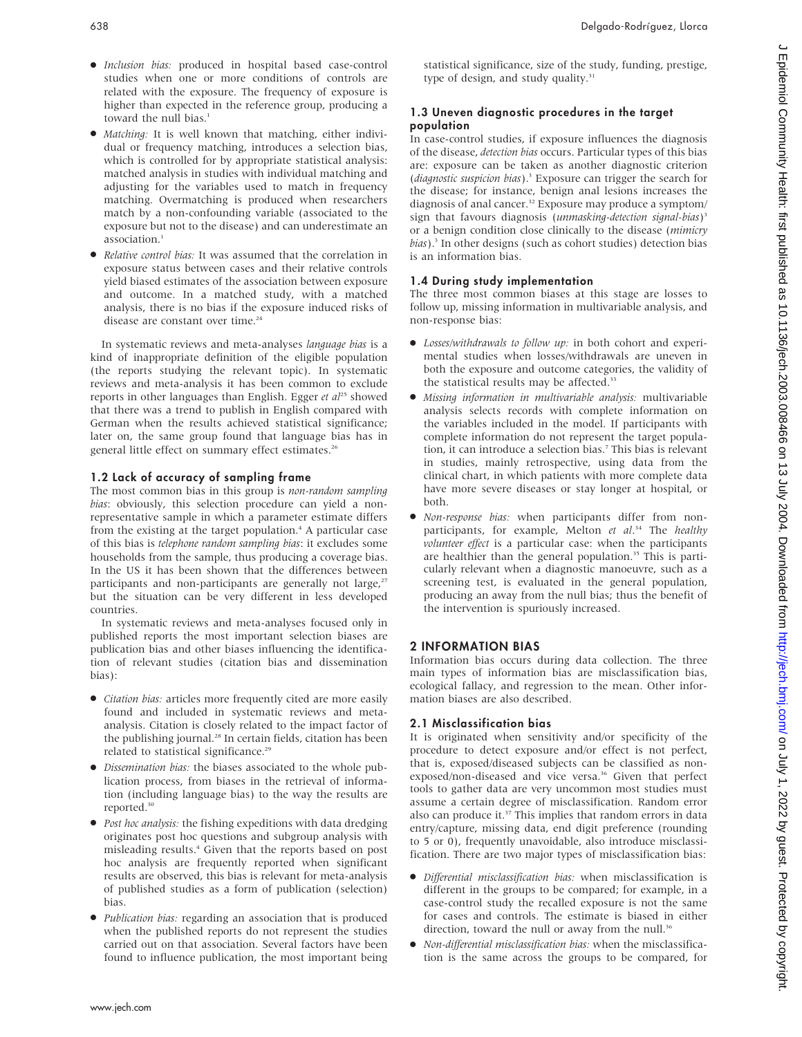- $\bullet$  Inclusion bias: produced in hospital based case-control studies when one or more conditions of controls are related with the exposure. The frequency of exposure is higher than expected in the reference group, producing a toward the null bias.<sup>1</sup>
- Matching: It is well known that matching, either individual or frequency matching, introduces a selection bias, which is controlled for by appropriate statistical analysis: matched analysis in studies with individual matching and adjusting for the variables used to match in frequency matching. Overmatching is produced when researchers match by a non-confounding variable (associated to the exposure but not to the disease) and can underestimate an association.<sup>1</sup>
- Relative control bias: It was assumed that the correlation in exposure status between cases and their relative controls yield biased estimates of the association between exposure and outcome. In a matched study, with a matched analysis, there is no bias if the exposure induced risks of disease are constant over time.<sup>24</sup>

In systematic reviews and meta-analyses language bias is a kind of inappropriate definition of the eligible population (the reports studying the relevant topic). In systematic reviews and meta-analysis it has been common to exclude reports in other languages than English. Egger et al<sup>25</sup> showed that there was a trend to publish in English compared with German when the results achieved statistical significance; later on, the same group found that language bias has in general little effect on summary effect estimates.<sup>26</sup>

## 1.2 Lack of accuracy of sampling frame

The most common bias in this group is non-random sampling bias: obviously, this selection procedure can yield a nonrepresentative sample in which a parameter estimate differs from the existing at the target population.<sup>4</sup> A particular case of this bias is telephone random sampling bias: it excludes some households from the sample, thus producing a coverage bias. In the US it has been shown that the differences between participants and non-participants are generally not large,<sup>27</sup> but the situation can be very different in less developed countries.

In systematic reviews and meta-analyses focused only in published reports the most important selection biases are publication bias and other biases influencing the identification of relevant studies (citation bias and dissemination bias):

- $\bullet$  *Citation bias:* articles more frequently cited are more easily found and included in systematic reviews and metaanalysis. Citation is closely related to the impact factor of the publishing journal.<sup>28</sup> In certain fields, citation has been related to statistical significance.<sup>29</sup>
- $\bullet$  Dissemination bias: the biases associated to the whole publication process, from biases in the retrieval of information (including language bias) to the way the results are reported.30
- Post hoc analysis: the fishing expeditions with data dredging originates post hoc questions and subgroup analysis with misleading results.4 Given that the reports based on post hoc analysis are frequently reported when significant results are observed, this bias is relevant for meta-analysis of published studies as a form of publication (selection) bias.
- Publication bias: regarding an association that is produced when the published reports do not represent the studies carried out on that association. Several factors have been found to influence publication, the most important being

statistical significance, size of the study, funding, prestige, type of design, and study quality.<sup>31</sup>

## 1.3 Uneven diagnostic procedures in the target population

In case-control studies, if exposure influences the diagnosis of the disease, detection bias occurs. Particular types of this bias are: exposure can be taken as another diagnostic criterion (diagnostic suspicion bias).3 Exposure can trigger the search for the disease; for instance, benign anal lesions increases the diagnosis of anal cancer.<sup>32</sup> Exposure may produce a symptom/ sign that favours diagnosis (unmasking-detection signal-bias)<sup>3</sup> or a benign condition close clinically to the disease (mimicry bias).<sup>3</sup> In other designs (such as cohort studies) detection bias is an information bias.

## 1.4 During study implementation

The three most common biases at this stage are losses to follow up, missing information in multivariable analysis, and non-response bias:

- $\bullet$  Losses/withdrawals to follow up: in both cohort and experimental studies when losses/withdrawals are uneven in both the exposure and outcome categories, the validity of the statistical results may be affected.<sup>33</sup>
- Missing information in multivariable analysis: multivariable analysis selects records with complete information on the variables included in the model. If participants with complete information do not represent the target population, it can introduce a selection bias.<sup>7</sup> This bias is relevant in studies, mainly retrospective, using data from the clinical chart, in which patients with more complete data have more severe diseases or stay longer at hospital, or both.
- $\bullet$  Non-response bias: when participants differ from nonparticipants, for example, Melton et al.<sup>34</sup> The healthy volunteer effect is a particular case: when the participants are healthier than the general population.<sup>35</sup> This is particularly relevant when a diagnostic manoeuvre, such as a screening test, is evaluated in the general population, producing an away from the null bias; thus the benefit of the intervention is spuriously increased.

## 2 INFORMATION BIAS

Information bias occurs during data collection. The three main types of information bias are misclassification bias, ecological fallacy, and regression to the mean. Other information biases are also described.

## 2.1 Misclassification bias

It is originated when sensitivity and/or specificity of the procedure to detect exposure and/or effect is not perfect, that is, exposed/diseased subjects can be classified as nonexposed/non-diseased and vice versa.<sup>36</sup> Given that perfect tools to gather data are very uncommon most studies must assume a certain degree of misclassification. Random error also can produce it.<sup>37</sup> This implies that random errors in data entry/capture, missing data, end digit preference (rounding to 5 or 0), frequently unavoidable, also introduce misclassification. There are two major types of misclassification bias:

- $\bullet$  Differential misclassification bias: when misclassification is different in the groups to be compared; for example, in a case-control study the recalled exposure is not the same for cases and controls. The estimate is biased in either direction, toward the null or away from the null.<sup>36</sup>
- $\bullet$  Non-differential misclassification bias: when the misclassification is the same across the groups to be compared, for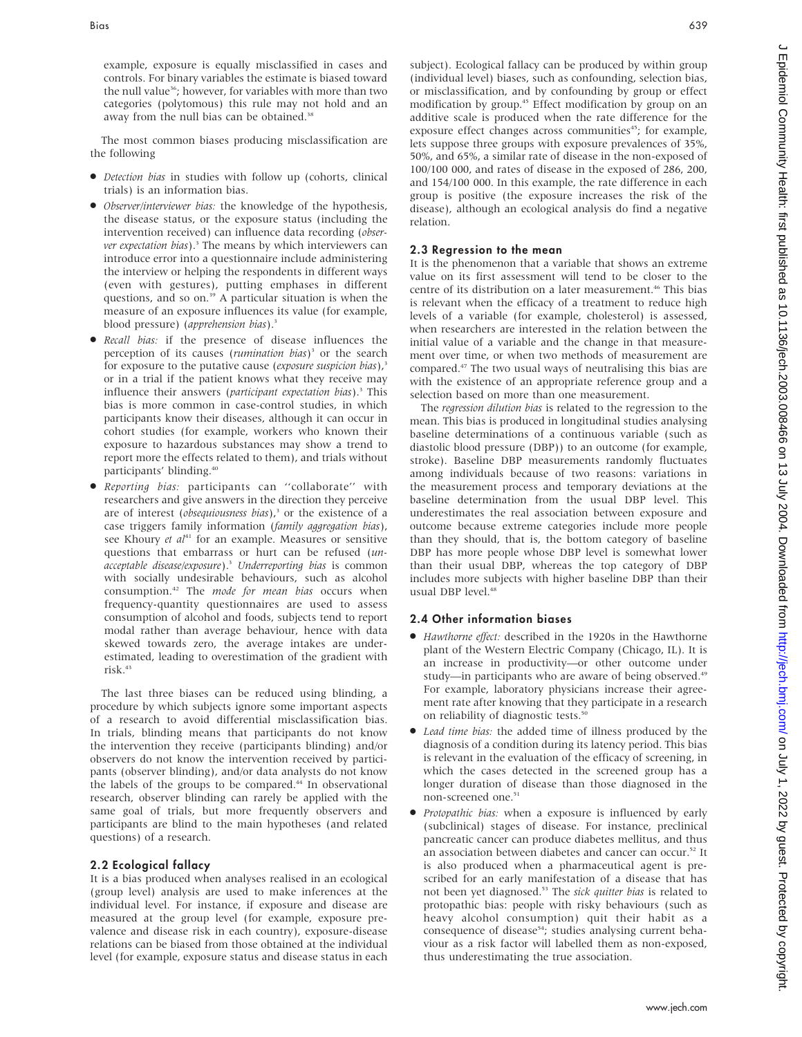example, exposure is equally misclassified in cases and controls. For binary variables the estimate is biased toward the null value<sup>36</sup>; however, for variables with more than two categories (polytomous) this rule may not hold and an away from the null bias can be obtained.<sup>38</sup>

The most common biases producing misclassification are the following

- $\bullet$  *Detection bias* in studies with follow up (cohorts, clinical trials) is an information bias.
- Observer/interviewer bias: the knowledge of the hypothesis, the disease status, or the exposure status (including the intervention received) can influence data recording (observer expectation bias).<sup>3</sup> The means by which interviewers can introduce error into a questionnaire include administering the interview or helping the respondents in different ways (even with gestures), putting emphases in different questions, and so on.<sup>39</sup> A particular situation is when the measure of an exposure influences its value (for example, blood pressure) (apprehension bias).<sup>3</sup>
- $\bullet$  Recall bias: if the presence of disease influences the perception of its causes (rumination bias)<sup>3</sup> or the search for exposure to the putative cause (exposure suspicion bias), $3$ or in a trial if the patient knows what they receive may influence their answers (*participant expectation bias*).<sup>3</sup> This bias is more common in case-control studies, in which participants know their diseases, although it can occur in cohort studies (for example, workers who known their exposure to hazardous substances may show a trend to report more the effects related to them), and trials without participants' blinding.<sup>40</sup>
- Reporting bias: participants can "collaborate" with researchers and give answers in the direction they perceive are of interest (*obsequiousness bias*), $3$  or the existence of a case triggers family information (family aggregation bias), see Khoury et  $al^{41}$  for an example. Measures or sensitive questions that embarrass or hurt can be refused (unacceptable disease/exposure).<sup>3</sup> Underreporting bias is common with socially undesirable behaviours, such as alcohol consumption.<sup>42</sup> The *mode for mean bias* occurs when frequency-quantity questionnaires are used to assess consumption of alcohol and foods, subjects tend to report modal rather than average behaviour, hence with data skewed towards zero, the average intakes are underestimated, leading to overestimation of the gradient with risk.<sup>43</sup>

The last three biases can be reduced using blinding, a procedure by which subjects ignore some important aspects of a research to avoid differential misclassification bias. In trials, blinding means that participants do not know the intervention they receive (participants blinding) and/or observers do not know the intervention received by participants (observer blinding), and/or data analysts do not know the labels of the groups to be compared.<sup>44</sup> In observational research, observer blinding can rarely be applied with the same goal of trials, but more frequently observers and participants are blind to the main hypotheses (and related questions) of a research.

#### 2.2 Ecological fallacy

It is a bias produced when analyses realised in an ecological (group level) analysis are used to make inferences at the individual level. For instance, if exposure and disease are measured at the group level (for example, exposure prevalence and disease risk in each country), exposure-disease relations can be biased from those obtained at the individual level (for example, exposure status and disease status in each subject). Ecological fallacy can be produced by within group (individual level) biases, such as confounding, selection bias, or misclassification, and by confounding by group or effect modification by group.<sup>45</sup> Effect modification by group on an additive scale is produced when the rate difference for the exposure effect changes across communities<sup>45</sup>; for example, lets suppose three groups with exposure prevalences of 35%, 50%, and 65%, a similar rate of disease in the non-exposed of 100/100 000, and rates of disease in the exposed of 286, 200, and 154/100 000. In this example, the rate difference in each group is positive (the exposure increases the risk of the disease), although an ecological analysis do find a negative relation.

#### 2.3 Regression to the mean

It is the phenomenon that a variable that shows an extreme value on its first assessment will tend to be closer to the centre of its distribution on a later measurement.<sup>46</sup> This bias is relevant when the efficacy of a treatment to reduce high levels of a variable (for example, cholesterol) is assessed, when researchers are interested in the relation between the initial value of a variable and the change in that measurement over time, or when two methods of measurement are compared.47 The two usual ways of neutralising this bias are with the existence of an appropriate reference group and a selection based on more than one measurement.

The regression dilution bias is related to the regression to the mean. This bias is produced in longitudinal studies analysing baseline determinations of a continuous variable (such as diastolic blood pressure (DBP)) to an outcome (for example, stroke). Baseline DBP measurements randomly fluctuates among individuals because of two reasons: variations in the measurement process and temporary deviations at the baseline determination from the usual DBP level. This underestimates the real association between exposure and outcome because extreme categories include more people than they should, that is, the bottom category of baseline DBP has more people whose DBP level is somewhat lower than their usual DBP, whereas the top category of DBP includes more subjects with higher baseline DBP than their usual DBP level.<sup>48</sup>

#### 2.4 Other information biases

- N Hawthorne effect: described in the 1920s in the Hawthorne plant of the Western Electric Company (Chicago, IL). It is an increase in productivity—or other outcome under study—in participants who are aware of being observed.<sup>49</sup> For example, laboratory physicians increase their agreement rate after knowing that they participate in a research on reliability of diagnostic tests.<sup>50</sup>
- Lead time bias: the added time of illness produced by the diagnosis of a condition during its latency period. This bias is relevant in the evaluation of the efficacy of screening, in which the cases detected in the screened group has a longer duration of disease than those diagnosed in the non-screened one.<sup>51</sup>
- Protopathic bias: when a exposure is influenced by early (subclinical) stages of disease. For instance, preclinical pancreatic cancer can produce diabetes mellitus, and thus an association between diabetes and cancer can occur.52 It is also produced when a pharmaceutical agent is prescribed for an early manifestation of a disease that has not been yet diagnosed.<sup>53</sup> The sick quitter bias is related to protopathic bias: people with risky behaviours (such as heavy alcohol consumption) quit their habit as a consequence of disease<sup>54</sup>; studies analysing current behaviour as a risk factor will labelled them as non-exposed, thus underestimating the true association.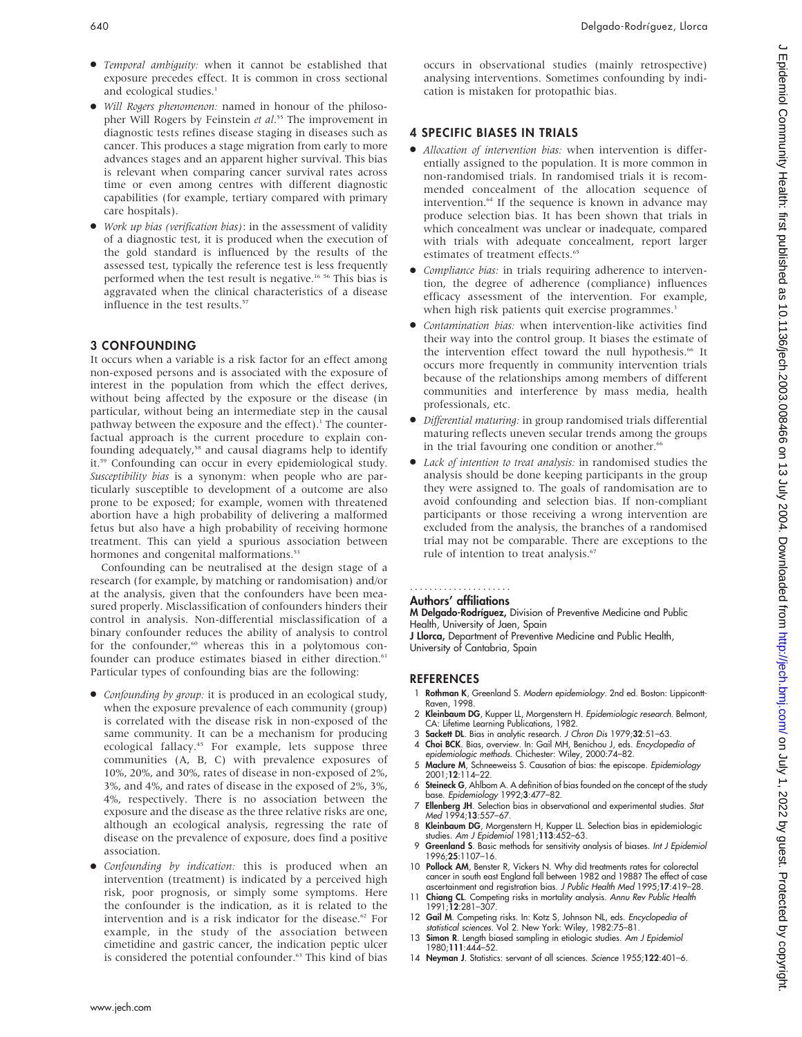- $\bullet$  Temporal ambiguity: when it cannot be established that exposure precedes effect. It is common in cross sectional and ecological studies.<sup>1</sup>
- $\bullet$  Will Rogers phenomenon: named in honour of the philosopher Will Rogers by Feinstein et al.<sup>55</sup> The improvement in diagnostic tests refines disease staging in diseases such as cancer. This produces a stage migration from early to more advances stages and an apparent higher survival. This bias is relevant when comparing cancer survival rates across time or even among centres with different diagnostic capabilities (for example, tertiary compared with primary care hospitals).
- Work up bias (verification bias): in the assessment of validity of a diagnostic test, it is produced when the execution of the gold standard is influenced by the results of the assessed test, typically the reference test is less frequently performed when the test result is negative.<sup>16 56</sup> This bias is aggravated when the clinical characteristics of a disease influence in the test results.<sup>57</sup>

## 3 CONFOUNDING

It occurs when a variable is a risk factor for an effect among non-exposed persons and is associated with the exposure of interest in the population from which the effect derives, without being affected by the exposure or the disease (in particular, without being an intermediate step in the causal pathway between the exposure and the effect).<sup>1</sup> The counterfactual approach is the current procedure to explain confounding adequately,<sup>58</sup> and causal diagrams help to identify it.59 Confounding can occur in every epidemiological study. Susceptibility bias is a synonym: when people who are particularly susceptible to development of a outcome are also prone to be exposed; for example, women with threatened abortion have a high probability of delivering a malformed fetus but also have a high probability of receiving hormone treatment. This can yield a spurious association between hormones and congenital malformations.<sup>53</sup>

Confounding can be neutralised at the design stage of a research (for example, by matching or randomisation) and/or at the analysis, given that the confounders have been measured properly. Misclassification of confounders hinders their control in analysis. Non-differential misclassification of a binary confounder reduces the ability of analysis to control for the confounder,<sup>60</sup> whereas this in a polytomous confounder can produce estimates biased in either direction.<sup>61</sup> Particular types of confounding bias are the following:

- *Confounding by group:* it is produced in an ecological study, when the exposure prevalence of each community (group) is correlated with the disease risk in non-exposed of the same community. It can be a mechanism for producing ecological fallacy.<sup>45</sup> For example, lets suppose three communities (A, B, C) with prevalence exposures of 10%, 20%, and 30%, rates of disease in non-exposed of 2%, 3%, and 4%, and rates of disease in the exposed of 2%, 3%, 4%, respectively. There is no association between the exposure and the disease as the three relative risks are one, although an ecological analysis, regressing the rate of disease on the prevalence of exposure, does find a positive association.
- Confounding by indication: this is produced when an intervention (treatment) is indicated by a perceived high risk, poor prognosis, or simply some symptoms. Here the confounder is the indication, as it is related to the intervention and is a risk indicator for the disease.<sup>62</sup> For example, in the study of the association between cimetidine and gastric cancer, the indication peptic ulcer is considered the potential confounder.<sup>63</sup> This kind of bias

occurs in observational studies (mainly retrospective) analysing interventions. Sometimes confounding by indication is mistaken for protopathic bias.

## 4 SPECIFIC BIASES IN TRIALS

- Allocation of intervention bias: when intervention is differentially assigned to the population. It is more common in non-randomised trials. In randomised trials it is recommended concealment of the allocation sequence of intervention.<sup>64</sup> If the sequence is known in advance may produce selection bias. It has been shown that trials in which concealment was unclear or inadequate, compared with trials with adequate concealment, report larger estimates of treatment effects.<sup>65</sup>
- Compliance bias: in trials requiring adherence to intervention, the degree of adherence (compliance) influences efficacy assessment of the intervention. For example, when high risk patients quit exercise programmes.<sup>3</sup>
- Contamination bias: when intervention-like activities find their way into the control group. It biases the estimate of the intervention effect toward the null hypothesis.<sup>66</sup> It occurs more frequently in community intervention trials because of the relationships among members of different communities and interference by mass media, health professionals, etc.
- Differential maturing: in group randomised trials differential maturing reflects uneven secular trends among the groups in the trial favouring one condition or another.<sup>66</sup>
- $\bullet$  Lack of intention to treat analysis: in randomised studies the analysis should be done keeping participants in the group they were assigned to. The goals of randomisation are to avoid confounding and selection bias. If non-compliant participants or those receiving a wrong intervention are excluded from the analysis, the branches of a randomised trial may not be comparable. There are exceptions to the rule of intention to treat analysis.<sup>67</sup>

#### Authors' affiliations .....................

M Delgado-Rodríguez, Division of Preventive Medicine and Public Health, University of Jaen, Spain

J Llorca, Department of Preventive Medicine and Public Health, University of Cantabria, Spain

## REFERENCES

- 1 Rothman K, Greenland S. Modern epidemiology. 2nd ed. Boston: Lippicontt-Raven, 1998.
- 2 Kleinbaum DG, Kupper LL, Morgenstern H. Epidemiologic research. Belmont, CA: Lifetime Learning Publications, 1982.
- 3 **Sackett DL**. Bias in analytic research. *J Chron Dis* 1979;**32**:51–63.<br>4 **Choi BCK**. Bias, overview. In: Gail MH, Benichou J, eds. *Encyclopedia o*f
- 
- epidemiologic methods. Chichester: Wiley, 2000:74–82. 5 Maclure M, Schneeweiss S. Causation of bias: the episcope. Epidemiology 2001;12:114–22.
- 6 Steineck G, Ahlbom A. A definition of bias founded on the concept of the study base. Epidemiology 1992;3:477–82.
- 7 Ellenberg JH. Selection bias in observational and experimental studies. Stat Med 1994;**13**:557–67.
- 8 Kleinbaum DG, Morgenstern H, Kupper LL. Selection bias in epidemiologic studies. Am J Epidemiol 1981;113:452–63.
- 9 Greenland S. Basic methods for sensitivity analysis of biases. Int J Epidemiol 1996;25:1107–16.
- 10 Pollock AM, Benster R, Vickers N. Why did treatments rates for colorectal cancer in south east England fall between 1982 and 1988? The effect of case ascertainment and registration bias. J Public Health Med 1995;17:419–28.
- 11 Chiang CL. Competing risks in mortality analysis. Annu Rev Public Health 1991;12:281–307.
- 12 Gail M. Competing risks. In: Kotz S, Johnson NL, eds. Encyclopedia of
- statistical sciences. Vol 2. New York: Wiley, 1982:75–81. 13 Simon R. Length biased sampling in etiologic studies. Am J Epidemiol 1980;111:444–52.
- 14 Neyman J. Statistics: servant of all sciences. Science 1955;122:401-6.